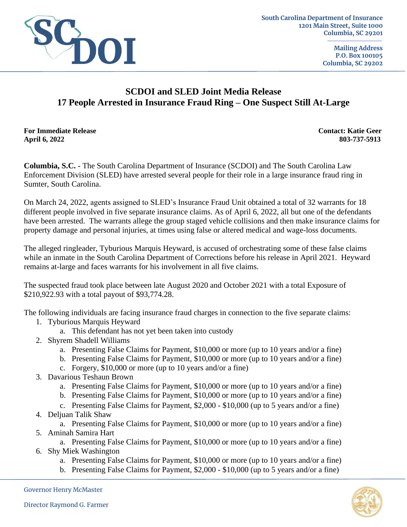

**Mailing Address P.O. Box 100105 Columbia, SC 29202**

## **SCDOI and SLED Joint Media Release 17 People Arrested in Insurance Fraud Ring – One Suspect Still At-Large**

**For Immediate Release Contact: Katie Geer April 6, 2022 803-737-5913**

**Columbia, S.C. -** The South Carolina Department of Insurance (SCDOI) and The South Carolina Law Enforcement Division (SLED) have arrested several people for their role in a large insurance fraud ring in Sumter, South Carolina.

On March 24, 2022, agents assigned to SLED's Insurance Fraud Unit obtained a total of 32 warrants for 18 different people involved in five separate insurance claims. As of April 6, 2022, all but one of the defendants have been arrested. The warrants allege the group staged vehicle collisions and then make insurance claims for property damage and personal injuries, at times using false or altered medical and wage-loss documents.

The alleged ringleader, Tyburious Marquis Heyward, is accused of orchestrating some of these false claims while an inmate in the South Carolina Department of Corrections before his release in April 2021. Heyward remains at-large and faces warrants for his involvement in all five claims.

The suspected fraud took place between late August 2020 and October 2021 with a total Exposure of \$210,922.93 with a total payout of \$93,774.28.

The following individuals are facing insurance fraud charges in connection to the five separate claims:

- 1. Tyburious Marquis Heyward
	- a. This defendant has not yet been taken into custody
- 2. Shyrem Shadell Williams
	- a. Presenting False Claims for Payment, \$10,000 or more (up to 10 years and/or a fine)
	- b. Presenting False Claims for Payment, \$10,000 or more (up to 10 years and/or a fine)
	- c. Forgery, \$10,000 or more (up to 10 years and/or a fine)
- 3. Davarious Teshaun Brown
	- a. Presenting False Claims for Payment, \$10,000 or more (up to 10 years and/or a fine)
	- b. Presenting False Claims for Payment, \$10,000 or more (up to 10 years and/or a fine)
	- c. Presenting False Claims for Payment, \$2,000 \$10,000 (up to 5 years and/or a fine)
- 4. Deljuan Talik Shaw
	- a. Presenting False Claims for Payment, \$10,000 or more (up to 10 years and/or a fine)
- 5. Aminah Samira Hart
- a. Presenting False Claims for Payment, \$10,000 or more (up to 10 years and/or a fine) 6. Shy Miek Washington
	- a. Presenting False Claims for Payment, \$10,000 or more (up to 10 years and/or a fine)
	- b. Presenting False Claims for Payment, \$2,000 \$10,000 (up to 5 years and/or a fine)